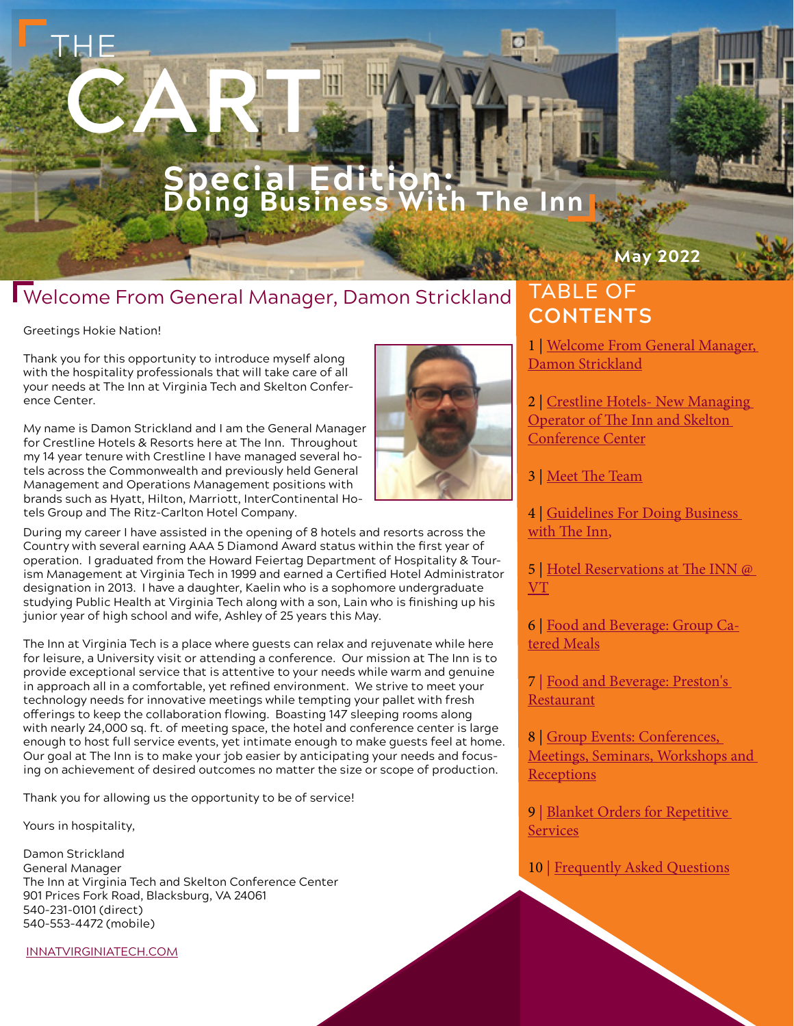### **Sal Edition Doing Business With The Inn**

### Welcome From General Manager, Damon Strickland

**SALE BY OUT CONTOOL** 

#### Greetings Hokie Nation!

THE

Thank you for this opportunity to introduce myself along with the hospitality professionals that will take care of all your needs at The Inn at Virginia Tech and Skelton Conference Center.

CART,

My name is Damon Strickland and I am the General Manager for Crestline Hotels & Resorts here at The Inn. Throughout my 14 year tenure with Crestline I have managed several hotels across the Commonwealth and previously held General Management and Operations Management positions with brands such as Hyatt, Hilton, Marriott, InterContinental Hotels Group and The Ritz-Carlton Hotel Company.



The Inn at Virginia Tech is a place where guests can relax and rejuvenate while here for leisure, a University visit or attending a conference. Our mission at The Inn is to provide exceptional service that is attentive to your needs while warm and genuine in approach all in a comfortable, yet refined environment. We strive to meet your technology needs for innovative meetings while tempting your pallet with fresh offerings to keep the collaboration flowing. Boasting 147 sleeping rooms along with nearly 24,000 sq. ft. of meeting space, the hotel and conference center is large enough to host full service events, yet intimate enough to make guests feel at home. Our goal at The Inn is to make your job easier by anticipating your needs and focusing on achievement of desired outcomes no matter the size or scope of production.

Thank you for allowing us the opportunity to be of service!

Yours in hospitality,

Damon Strickland General Manager The Inn at Virginia Tech and Skelton Conference Center 901 Prices Fork Road, Blacksburg, VA 24061 540-231-0101 (direct) 540-553-4472 (mobile)

[INNATVIRGINIATECH.COM](http://www.innatvirginiatech.com)



## TABLE OF **CONTENTS**

1 | Welcome From General Manager, Damon Strickland

**May 2022**

2 | [Crestline Hotels- New Managing](#page-1-0)  [Operator of The Inn and Skelton](#page-1-0)  [Conference Center](#page-1-0)

[3](#page-1-0) | [Meet The Team](#page-1-0)

4 | Guidelines For Doing Business [with The Inn](#page-2-0),

5 | [Hotel Reservations at The INN @](#page-2-0)  [VT](#page-2-0)

6 | [Food and Beverage: Group Ca](#page-3-0)[tered Meals](#page-3-0)

7 | Food and Beverage: Preston's [Restaurant](#page-3-0)

8 | Group Events: Conferences, [Meetings, Seminars, Workshops and](#page-4-0)  **[Receptions](#page-4-0)** 

9 | Blanket Orders for Repetitive [Services](#page-4-0)

10 | [Frequently Asked Questions](#page-5-0)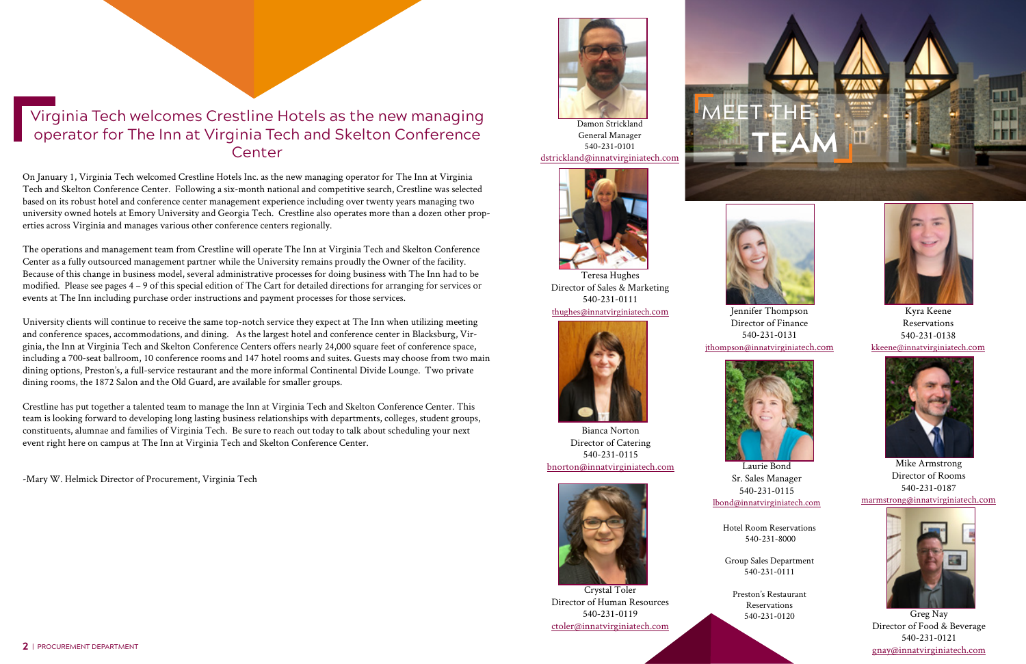



# <span id="page-1-0"></span>Virginia Tech welcomes Crestline Hotels as the new managing operator for The Inn at Virginia Tech and Skelton Conference Center



Bianca Norton Director of Catering 540-231-0115 [bnorton@innatvirginiatech.com](mailto:bnorton%40innatvirginiatech.com?subject=Meet%20The%20Team-%20Bianca%20Norton)







Director of Human Resources 540-231-0119 [ctoler@innatvirginiatech.com](mailto:ctoler%40innatviriginiatech.com?subject=Meet%20The%20Team-%20Crystal%20Toler)



Damon Strickland General Manager 540-231-0101 [dstrickland@innatvirginiatech.com](mailto:dstrickland%40innatvirginiatech.com?subject=Meet%20The%20Team-%20Damon%20Strickland)



Greg Nay Director of Food & Beverage 540-231-0121 [gnay@innatvirginiatech.com](mailto:gnay%40innatvirginiatech.com?subject=Meet%20the%20Team-%20Greg%20Nay)





Kyra Keene Reservations 540-231-0138 [kkeene@innatvirginiatech.com](mailto:kkeene%40innatvirginiatech.com?subject=Meet%20the%20Team-%20Kyra%20Keene)

Jennifer Thompson Director of Finance 540-231-0131 [jthompson@innatvirginiatech.com](mailto:jthompson%40innatvirginiatech.com?subject=Meet%20the%20Team-%20Jennifer%20Thompson)





Laurie Bond Sr. Sales Manager 540-231-0115 [lbond@innatvirginiatech.com](mailto:lbond%40innatvirginiatech.com?subject=Meet%20the%20Team-%20Laurie%20Bond)



Mike Armstrong Director of Rooms 540-231-0187





Teresa Hughes Director of Sales & Marketing 540-231-0111 [thughes@innatvirginiatech.com](mailto:thughes%40innatvirginiatech.com?subject=Meet%20the%20Team-%20Teresa%20Hughes)

Hotel Room Reservations 540-231-8000

Group Sales Department 540-231-0111

Preston's Restaurant Reservations 540-231-0120

On January 1, Virginia Tech welcomed Crestline Hotels Inc. as the new managing operator for The Inn at Virginia Tech and Skelton Conference Center. Following a six-month national and competitive search, Crestline was selected based on its robust hotel and conference center management experience including over twenty years managing two university owned hotels at Emory University and Georgia Tech. Crestline also operates more than a dozen other properties across Virginia and manages various other conference centers regionally.

The operations and management team from Crestline will operate The Inn at Virginia Tech and Skelton Conference Center as a fully outsourced management partner while the University remains proudly the Owner of the facility. Because of this change in business model, several administrative processes for doing business with The Inn had to be modified. Please see pages 4 – 9 of this special edition of The Cart for detailed directions for arranging for services or events at The Inn including purchase order instructions and payment processes for those services.

University clients will continue to receive the same top-notch service they expect at The Inn when utilizing meeting and conference spaces, accommodations, and dining. As the largest hotel and conference center in Blacksburg, Virginia, the Inn at Virginia Tech and Skelton Conference Centers offers nearly 24,000 square feet of conference space, including a 700-seat ballroom, 10 conference rooms and 147 hotel rooms and suites. Guests may choose from two main dining options, Preston's, a full-service restaurant and the more informal Continental Divide Lounge. Two private dining rooms, the 1872 Salon and the Old Guard, are available for smaller groups.

Crestline has put together a talented team to manage the Inn at Virginia Tech and Skelton Conference Center. This team is looking forward to developing long lasting business relationships with departments, colleges, student groups, constituents, alumnae and families of Virginia Tech. Be sure to reach out today to talk about scheduling your next event right here on campus at The Inn at Virginia Tech and Skelton Conference Center.

-Mary W. Helmick Director of Procurement, Virginia Tech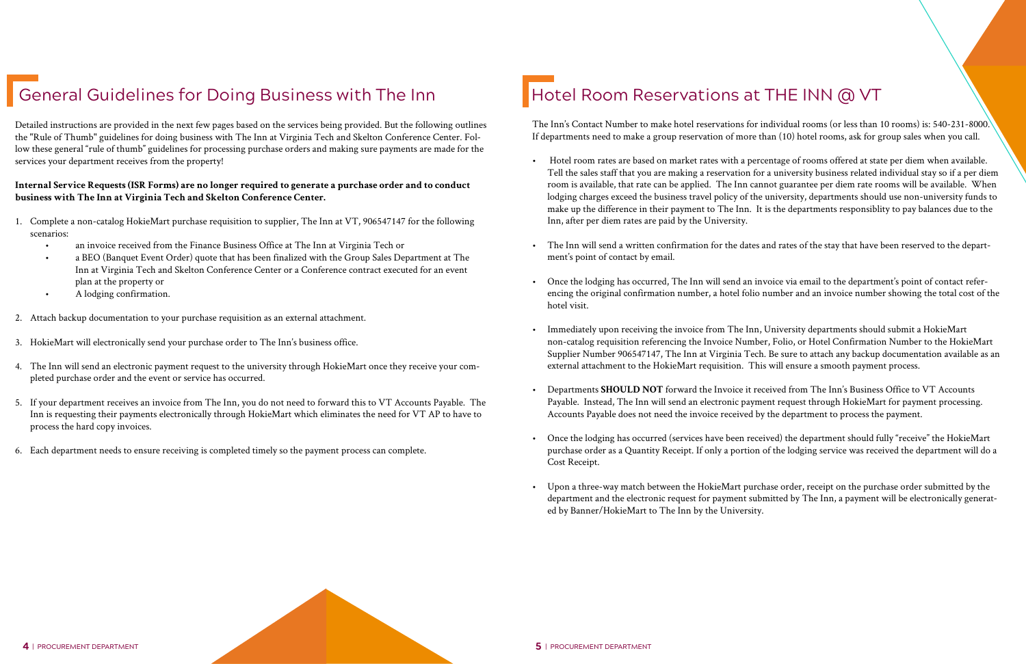# <span id="page-2-0"></span>General Guidelines for Doing Business with The Inn Fund Hotel Room Reservations at THE INN @ VT

Detailed instructions are provided in the next few pages based on the services being provided. But the following outlines the "Rule of Thumb" guidelines for doing business with The Inn at Virginia Tech and Skelton Conference Center. Follow these general "rule of thumb" guidelines for processing purchase orders and making sure payments are made for the services your department receives from the property!

#### **Internal Service Requests (ISR Forms) are no longer required to generate a purchase order and to conduct business with The Inn at Virginia Tech and Skelton Conference Center.**

- 1. Complete a non-catalog HokieMart purchase requisition to supplier, The Inn at VT, 906547147 for the following scenarios:
	- an invoice received from the Finance Business Office at The Inn at Virginia Tech or
	- a BEO (Banquet Event Order) quote that has been finalized with the Group Sales Department at The Inn at Virginia Tech and Skelton Conference Center or a Conference contract executed for an event plan at the property or
	- A lodging confirmation.
- 2. Attach backup documentation to your purchase requisition as an external attachment.
- 3. HokieMart will electronically send your purchase order to The Inn's business office.
- 4. The Inn will send an electronic payment request to the university through HokieMart once they receive your completed purchase order and the event or service has occurred.
- 5. If your department receives an invoice from The Inn, you do not need to forward this to VT Accounts Payable. The Inn is requesting their payments electronically through HokieMart which eliminates the need for VT AP to have to process the hard copy invoices.
- 6. Each department needs to ensure receiving is completed timely so the payment process can complete.

The Inn's Contact Number to make hotel reservations for individual rooms (or less than 10 rooms) is: 540-231-8000. If departments need to make a group reservation of more than (10) hotel rooms, ask for group sales when you call.

• Hotel room rates are based on market rates with a percentage of rooms offered at state per diem when available. Tell the sales staff that you are making a reservation for a university business related individual stay so if a per diem room is available, that rate can be applied. The Inn cannot guarantee per diem rate rooms will be available. When lodging charges exceed the business travel policy of the university, departments should use non-university funds to make up the difference in their payment to The Inn. It is the departments responsiblity to pay balances due to the

• The Inn will send a written confirmation for the dates and rates of the stay that have been reserved to the depart-

• Once the lodging has occurred, The Inn will send an invoice via email to the department's point of contact referencing the original confirmation number, a hotel folio number and an invoice number showing the total cost of the

• Immediately upon receiving the invoice from The Inn, University departments should submit a HokieMart non-catalog requisition referencing the Invoice Number, Folio, or Hotel Confirmation Number to the HokieMart Supplier Number 906547147, The Inn at Virginia Tech. Be sure to attach any backup documentation available as an

- Inn, after per diem rates are paid by the University.
- ment's point of contact by email.
- hotel visit.
- external attachment to the HokieMart requisition. This will ensure a smooth payment process.
- Accounts Payable does not need the invoice received by the department to process the payment.
- Cost Receipt.
- ed by Banner/HokieMart to The Inn by the University.

• Departments **SHOULD NOT** forward the Invoice it received from The Inn's Business Office to VT Accounts Payable. Instead, The Inn will send an electronic payment request through HokieMart for payment processing.

• Once the lodging has occurred (services have been received) the department should fully "receive" the HokieMart purchase order as a Quantity Receipt. If only a portion of the lodging service was received the department will do a

• Upon a three-way match between the HokieMart purchase order, receipt on the purchase order submitted by the department and the electronic request for payment submitted by The Inn, a payment will be electronically generat-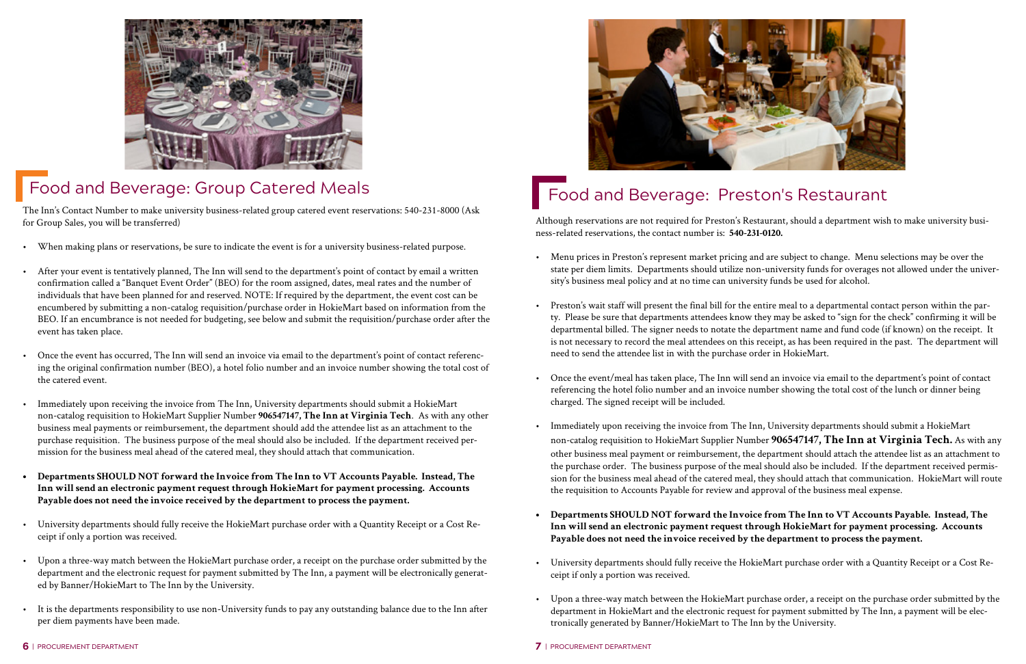<span id="page-3-0"></span>

# Food and Beverage: Group Catered Meals

The Inn's Contact Number to make university business-related group catered event reservations: 540-231-8000 (Ask for Group Sales, you will be transferred)

- When making plans or reservations, be sure to indicate the event is for a university business-related purpose.
- After your event is tentatively planned, The Inn will send to the department's point of contact by email a written confirmation called a "Banquet Event Order" (BEO) for the room assigned, dates, meal rates and the number of individuals that have been planned for and reserved. NOTE: If required by the department, the event cost can be encumbered by submitting a non-catalog requisition/purchase order in HokieMart based on information from the BEO. If an encumbrance is not needed for budgeting, see below and submit the requisition/purchase order after the event has taken place.
- Once the event has occurred, The Inn will send an invoice via email to the department's point of contact referencing the original confirmation number (BEO), a hotel folio number and an invoice number showing the total cost of the catered event.
- Immediately upon receiving the invoice from The Inn, University departments should submit a HokieMart non-catalog requisition to HokieMart Supplier Number **906547147, The Inn at Virginia Tech**. As with any other business meal payments or reimbursement, the department should add the attendee list as an attachment to the purchase requisition. The business purpose of the meal should also be included. If the department received permission for the business meal ahead of the catered meal, they should attach that communication.
- **• Departments SHOULD NOT forward the Invoice from The Inn to VT Accounts Payable. Instead, The Inn will send an electronic payment request through HokieMart for payment processing. Accounts Payable does not need the invoice received by the department to process the payment.**
- University departments should fully receive the HokieMart purchase order with a Quantity Receipt or a Cost Receipt if only a portion was received.
- Upon a three-way match between the HokieMart purchase order, a receipt on the purchase order submitted by the department and the electronic request for payment submitted by The Inn, a payment will be electronically generated by Banner/HokieMart to The Inn by the University.
- It is the departments responsibility to use non-University funds to pay any outstanding balance due to the Inn after per diem payments have been made.



# Food and Beverage: Preston's Restaurant

Although reservations are not required for Preston's Restaurant, should a department wish to make university business-related reservations, the contact number is: **540-231-0120.** 

• Menu prices in Preston's represent market pricing and are subject to change. Menu selections may be over the state per diem limits. Departments should utilize non-university funds for overages not allowed under the univer-

• Preston's wait staff will present the final bill for the entire meal to a departmental contact person within the party. Please be sure that departments attendees know they may be asked to "sign for the check" confirming it will be departmental billed. The signer needs to notate the department name and fund code (if known) on the receipt. It is not necessary to record the meal attendees on this receipt, as has been required in the past. The department will

• Once the event/meal has taken place, The Inn will send an invoice via email to the department's point of contact referencing the hotel folio number and an invoice number showing the total cost of the lunch or dinner being

- sity's business meal policy and at no time can university funds be used for alcohol.
- need to send the attendee list in with the purchase order in HokieMart.
- charged. The signed receipt will be included.
- the requisition to Accounts Payable for review and approval of the business meal expense.
- **Payable does not need the invoice received by the department to process the payment.**
- ceipt if only a portion was received.
- tronically generated by Banner/HokieMart to The Inn by the University.

• Immediately upon receiving the invoice from The Inn, University departments should submit a HokieMart non-catalog requisition to HokieMart Supplier Number **906547147, The Inn at Virginia Tech.** As with any other business meal payment or reimbursement, the department should attach the attendee list as an attachment to the purchase order. The business purpose of the meal should also be included. If the department received permission for the business meal ahead of the catered meal, they should attach that communication. HokieMart will route

**• Departments SHOULD NOT forward the Invoice from The Inn to VT Accounts Payable. Instead, The Inn will send an electronic payment request through HokieMart for payment processing. Accounts** 

• University departments should fully receive the HokieMart purchase order with a Quantity Receipt or a Cost Re-

• Upon a three-way match between the HokieMart purchase order, a receipt on the purchase order submitted by the department in HokieMart and the electronic request for payment submitted by The Inn, a payment will be elec-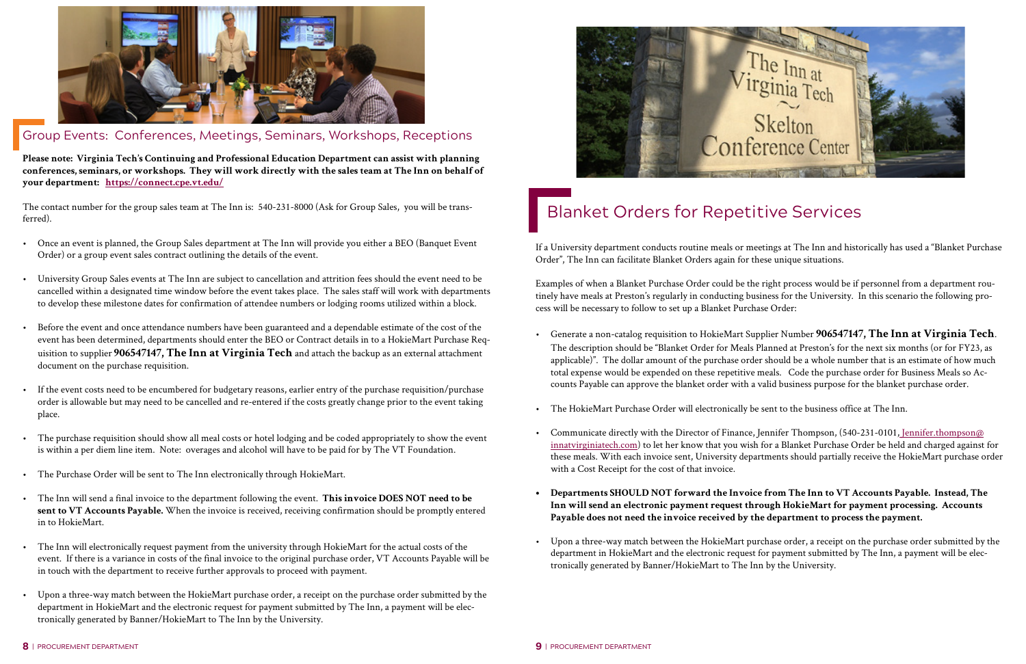<span id="page-4-0"></span>

### Group Events: Conferences, Meetings, Seminars, Workshops, Receptions

**Please note: Virginia Tech's Continuing and Professional Education Department can assist with planning conferences, seminars, or workshops. They will work directly with the sales team at The Inn on behalf of your department: <https://connect.cpe.vt.edu/>**

The contact number for the group sales team at The Inn is: 540-231-8000 (Ask for Group Sales, you will be transferred).

- Once an event is planned, the Group Sales department at The Inn will provide you either a BEO (Banquet Event Order) or a group event sales contract outlining the details of the event.
- University Group Sales events at The Inn are subject to cancellation and attrition fees should the event need to be cancelled within a designated time window before the event takes place. The sales staff will work with departments to develop these milestone dates for confirmation of attendee numbers or lodging rooms utilized within a block.
- Before the event and once attendance numbers have been guaranteed and a dependable estimate of the cost of the event has been determined, departments should enter the BEO or Contract details in to a HokieMart Purchase Requisition to supplier **906547147, The Inn at Virginia Tech** and attach the backup as an external attachment document on the purchase requisition.
- If the event costs need to be encumbered for budgetary reasons, earlier entry of the purchase requisition/purchase order is allowable but may need to be cancelled and re-entered if the costs greatly change prior to the event taking place.
- The purchase requisition should show all meal costs or hotel lodging and be coded appropriately to show the event is within a per diem line item. Note: overages and alcohol will have to be paid for by The VT Foundation.
- The Purchase Order will be sent to The Inn electronically through HokieMart.
- The Inn will send a final invoice to the department following the event. **This invoice DOES NOT need to be sent to VT Accounts Payable.** When the invoice is received, receiving confirmation should be promptly entered in to HokieMart.
- The Inn will electronically request payment from the university through HokieMart for the actual costs of the event. If there is a variance in costs of the final invoice to the original purchase order, VT Accounts Payable will be in touch with the department to receive further approvals to proceed with payment.
- Upon a three-way match between the HokieMart purchase order, a receipt on the purchase order submitted by the department in HokieMart and the electronic request for payment submitted by The Inn, a payment will be electronically generated by Banner/HokieMart to The Inn by the University.



# Blanket Orders for Repetitive Services

If a University department conducts routine meals or meetings at The Inn and historically has used a "Blanket Purchase Order", The Inn can facilitate Blanket Orders again for these unique situations.

Examples of when a Blanket Purchase Order could be the right process would be if personnel from a department routinely have meals at Preston's regularly in conducting business for the University. In this scenario the following process will be necessary to follow to set up a Blanket Purchase Order:

• Generate a non-catalog requisition to HokieMart Supplier Number **906547147, The Inn at Virginia Tech**. The description should be "Blanket Order for Meals Planned at Preston's for the next six months (or for FY23, as applicable)". The dollar amount of the purchase order should be a whole number that is an estimate of how much total expense would be expended on these repetitive meals. Code the purchase order for Business Meals so Accounts Payable can approve the blanket order with a valid business purpose for the blanket purchase order.

• Communicate directly with the Director of Finance, Jennifer Thompson, (540-231-0101[, Jennifer.thompson@](mailto:%20Jennifer.thompson%40innatvirginiatech.com?subject=Blanket%20Orders%20for%20Repetitive%20Services) [innatvirginiatech.com\)](mailto:%20Jennifer.thompson%40innatvirginiatech.com?subject=Blanket%20Orders%20for%20Repetitive%20Services) to let her know that you wish for a Blanket Purchase Order be held and charged against for these meals. With each invoice sent, University departments should partially receive the HokieMart purchase order

- 
- The HokieMart Purchase Order will electronically be sent to the business office at The Inn.
- with a Cost Receipt for the cost of that invoice.
- **Payable does not need the invoice received by the department to process the payment.**
- tronically generated by Banner/HokieMart to The Inn by the University.

# **• Departments SHOULD NOT forward the Invoice from The Inn to VT Accounts Payable. Instead, The Inn will send an electronic payment request through HokieMart for payment processing. Accounts**

• Upon a three-way match between the HokieMart purchase order, a receipt on the purchase order submitted by the department in HokieMart and the electronic request for payment submitted by The Inn, a payment will be elec-